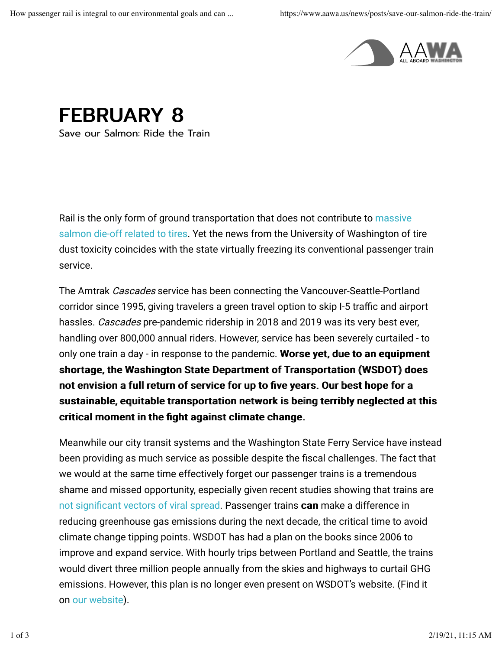

FEBRUARY 8

Save our Salmon: Ride the Train

Rail is the only form of ground transportation that does not contribute to massive salmon die-off related to tires. Yet the news from the University of Washington of tire dust toxicity coincides with the state virtually freezing its conventional passenger train service.

The Amtrak Cascades service has been connecting the Vancouver-Seattle-Portland corridor since 1995, giving travelers a green travel option to skip I-5 traffic and airport hassles. Cascades pre-pandemic ridership in 2018 and 2019 was its very best ever, handling over 800,000 annual riders. However, service has been severely curtailed - to only one train a day - in response to the pandemic. Worse yet, due to an equipment shortage, the Washington State Department of Transportation (WSDOT) does not envision a full return of service for up to five years. Our best hope for a sustainable, equitable transportation network is being terribly neglected at this critical moment in the fight against climate change.

Meanwhile our city transit systems and the Washington State Ferry Service have instead been providing as much service as possible despite the fiscal challenges. The fact that we would at the same time effectively forget our passenger trains is a tremendous shame and missed opportunity, especially given recent studies showing that trains are not significant vectors of viral spread. Passenger trains can make a difference in reducing greenhouse gas emissions during the next decade, the critical time to avoid climate change tipping points. WSDOT has had a plan on the books since 2006 to improve and expand service. With hourly trips between Portland and Seattle, the trains would divert three million people annually from the skies and highways to curtail GHG emissions. However, this plan is no longer even present on WSDOT's website. (Find it on our website).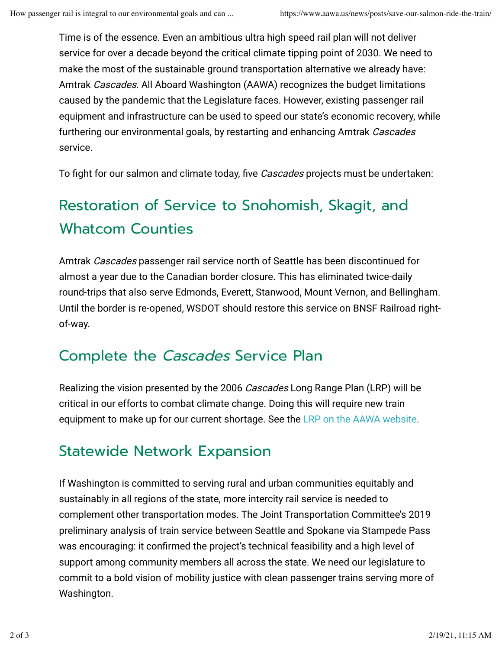Time is of the essence. Even an ambitious ultra high speed rail plan will not deliver service for over a decade beyond the critical climate tipping point of 2030. We need to make the most of the sustainable ground transportation alternative we already have: Amtrak Cascades. All Aboard Washington (AAWA) recognizes the budget limitations caused by the pandemic that the Legislature faces. However, existing passenger rail equipment and infrastructure can be used to speed our state's economic recovery, while furthering our environmental goals, by restarting and enhancing Amtrak Cascades service.

To fight for our salmon and climate today, five *Cascades* projects must be undertaken:

# Restoration of Service to Snohomish, Skagit, and Whatcom Counties

Amtrak Cascades passenger rail service north of Seattle has been discontinued for almost a year due to the Canadian border closure. This has eliminated twice-daily round-trips that also serve Edmonds, Everett, Stanwood, Mount Vernon, and Bellingham. Until the border is re-opened, WSDOT should restore this service on BNSF Railroad rightof-way.

#### Complete the Cascades Service Plan

Realizing the vision presented by the 2006 Cascades Long Range Plan (LRP) will be critical in our efforts to combat climate change. Doing this will require new train equipment to make up for our current shortage. See the LRP on the AAWA website.

## Statewide Network Expansion

If Washington is committed to serving rural and urban communities equitably and sustainably in all regions of the state, more intercity rail service is needed to complement other transportation modes. The Joint Transportation Committee's 2019 preliminary analysis of train service between Seattle and Spokane via Stampede Pass was encouraging: it confirmed the project's technical feasibility and a high level of support among community members all across the state. We need our legislature to commit to a bold vision of mobility justice with clean passenger trains serving more of Washington.